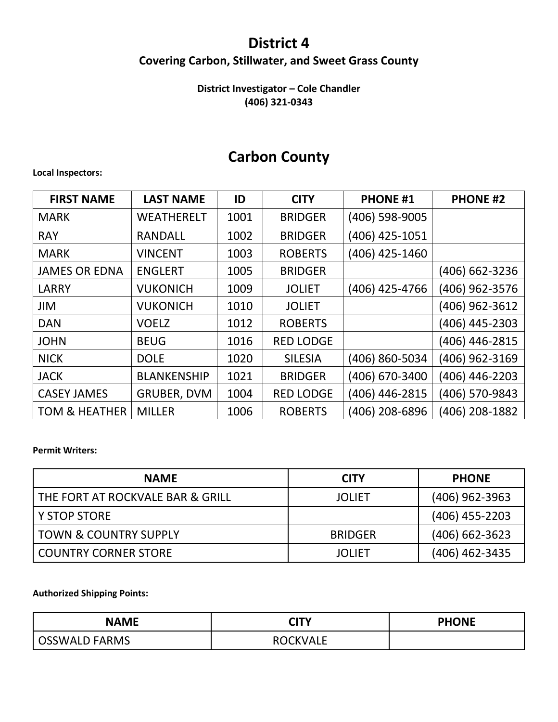### **District 4**

### **Covering Carbon, Stillwater, and Sweet Grass County**

### **District Investigator – Cole Chandler (406) 321-0343**

## **Carbon County**

### **Local Inspectors:**

| <b>FIRST NAME</b>        | <b>LAST NAME</b>   | ID   | <b>CITY</b>      | <b>PHONE #1</b> | <b>PHONE #2</b> |
|--------------------------|--------------------|------|------------------|-----------------|-----------------|
| <b>MARK</b>              | <b>WEATHERELT</b>  | 1001 | <b>BRIDGER</b>   | (406) 598-9005  |                 |
| <b>RAY</b>               | <b>RANDALL</b>     | 1002 | <b>BRIDGER</b>   | (406) 425-1051  |                 |
| <b>MARK</b>              | <b>VINCENT</b>     | 1003 | <b>ROBERTS</b>   | (406) 425-1460  |                 |
| <b>JAMES OR EDNA</b>     | <b>ENGLERT</b>     | 1005 | <b>BRIDGER</b>   |                 | (406) 662-3236  |
| <b>LARRY</b>             | <b>VUKONICH</b>    | 1009 | <b>JOLIET</b>    | (406) 425-4766  | (406) 962-3576  |
| JIM                      | <b>VUKONICH</b>    | 1010 | <b>JOLIET</b>    |                 | (406) 962-3612  |
| <b>DAN</b>               | <b>VOELZ</b>       | 1012 | <b>ROBERTS</b>   |                 | (406) 445-2303  |
| <b>JOHN</b>              | <b>BEUG</b>        | 1016 | <b>RED LODGE</b> |                 | (406) 446-2815  |
| <b>NICK</b>              | <b>DOLE</b>        | 1020 | <b>SILESIA</b>   | (406) 860-5034  | (406) 962-3169  |
| <b>JACK</b>              | <b>BLANKENSHIP</b> | 1021 | <b>BRIDGER</b>   | (406) 670-3400  | (406) 446-2203  |
| <b>CASEY JAMES</b>       | GRUBER, DVM        | 1004 | <b>RED LODGE</b> | (406) 446-2815  | (406) 570-9843  |
| <b>TOM &amp; HEATHER</b> | <b>MILLER</b>      | 1006 | <b>ROBERTS</b>   | (406) 208-6896  | (406) 208-1882  |

#### **Permit Writers:**

| <b>NAME</b>                      | <b>CITY</b>    | <b>PHONE</b>     |
|----------------------------------|----------------|------------------|
| THE FORT AT ROCKVALE BAR & GRILL | <b>JOLIET</b>  | $(406)$ 962-3963 |
| <b>Y STOP STORE</b>              |                | $(406)$ 455-2203 |
| <b>TOWN &amp; COUNTRY SUPPLY</b> | <b>BRIDGER</b> | $(406)$ 662-3623 |
| <b>COUNTRY CORNER STORE</b>      | <b>JOLIET</b>  | (406) 462-3435   |

### **Authorized Shipping Points:**

| <b>NAME</b>          | CITY            | <b>PHONE</b> |
|----------------------|-----------------|--------------|
| <b>OSSWALD FARMS</b> | <b>ROCKVALE</b> |              |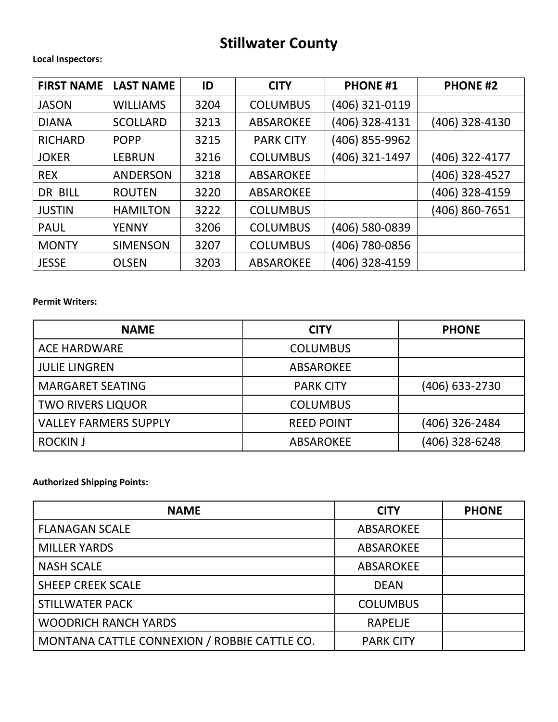# **Stillwater County**

### **Local Inspectors:**

| <b>FIRST NAME</b> | <b>LAST NAME</b> | ID   | <b>CITY</b>      | <b>PHONE #1</b> | <b>PHONE #2</b> |
|-------------------|------------------|------|------------------|-----------------|-----------------|
| <b>JASON</b>      | <b>WILLIAMS</b>  | 3204 | <b>COLUMBUS</b>  | (406) 321-0119  |                 |
| <b>DIANA</b>      | <b>SCOLLARD</b>  | 3213 | <b>ABSAROKEE</b> | (406) 328-4131  | (406) 328-4130  |
| <b>RICHARD</b>    | <b>POPP</b>      | 3215 | <b>PARK CITY</b> | (406) 855-9962  |                 |
| <b>JOKER</b>      | <b>LEBRUN</b>    | 3216 | <b>COLUMBUS</b>  | (406) 321-1497  | (406) 322-4177  |
| <b>REX</b>        | <b>ANDERSON</b>  | 3218 | <b>ABSAROKEE</b> |                 | (406) 328-4527  |
| DR BILL           | <b>ROUTEN</b>    | 3220 | <b>ABSAROKEE</b> |                 | (406) 328-4159  |
| <b>JUSTIN</b>     | <b>HAMILTON</b>  | 3222 | <b>COLUMBUS</b>  |                 | (406) 860-7651  |
| <b>PAUL</b>       | <b>YENNY</b>     | 3206 | <b>COLUMBUS</b>  | (406) 580-0839  |                 |
| <b>MONTY</b>      | <b>SIMENSON</b>  | 3207 | <b>COLUMBUS</b>  | (406) 780-0856  |                 |
| <b>JESSE</b>      | <b>OLSEN</b>     | 3203 | <b>ABSAROKEE</b> | (406) 328-4159  |                 |

### **Permit Writers:**

| <b>NAME</b>                  | <b>CITY</b>       | <b>PHONE</b>   |
|------------------------------|-------------------|----------------|
| <b>ACE HARDWARE</b>          | <b>COLUMBUS</b>   |                |
| <b>JULIE LINGREN</b>         | ABSAROKEE         |                |
| <b>MARGARET SEATING</b>      | <b>PARK CITY</b>  | (406) 633-2730 |
| <b>TWO RIVERS LIQUOR</b>     | <b>COLUMBUS</b>   |                |
| <b>VALLEY FARMERS SUPPLY</b> | <b>REED POINT</b> | (406) 326-2484 |
| <b>ROCKIN J</b>              | <b>ABSAROKEE</b>  | (406) 328-6248 |

### **Authorized Shipping Points:**

| <b>NAME</b>                                  | <b>CITY</b>      | <b>PHONE</b> |
|----------------------------------------------|------------------|--------------|
| <b>FLANAGAN SCALE</b>                        | <b>ABSAROKEE</b> |              |
| <b>MILLER YARDS</b>                          | <b>ABSAROKEE</b> |              |
| <b>NASH SCALE</b>                            | <b>ABSAROKEE</b> |              |
| <b>SHEEP CREEK SCALE</b>                     | <b>DEAN</b>      |              |
| <b>STILLWATER PACK</b>                       | <b>COLUMBUS</b>  |              |
| <b>WOODRICH RANCH YARDS</b>                  | <b>RAPELJE</b>   |              |
| MONTANA CATTLE CONNEXION / ROBBIE CATTLE CO. | <b>PARK CITY</b> |              |